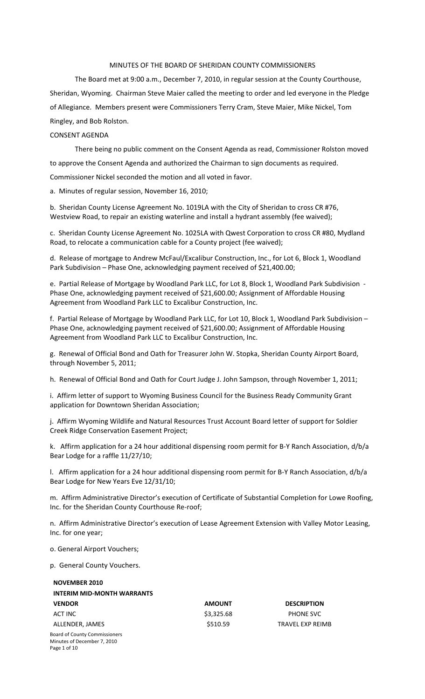#### MINUTES OF THE BOARD OF SHERIDAN COUNTY COMMISSIONERS

The Board met at 9:00 a.m., December 7, 2010, in regular session at the County Courthouse, Sheridan, Wyoming. Chairman Steve Maier called the meeting to order and led everyone in the Pledge of Allegiance. Members present were Commissioners Terry Cram, Steve Maier, Mike Nickel, Tom Ringley, and Bob Rolston.

### CONSENT AGENDA

There being no public comment on the Consent Agenda as read, Commissioner Rolston moved

to approve the Consent Agenda and authorized the Chairman to sign documents as required.

Commissioner Nickel seconded the motion and all voted in favor.

a. Minutes of regular session, November 16, 2010;

b. Sheridan County License Agreement No. 1019LA with the City of Sheridan to cross CR #76, Westview Road, to repair an existing waterline and install a hydrant assembly (fee waived);

c. Sheridan County License Agreement No. 1025LA with Qwest Corporation to cross CR #80, Mydland Road, to relocate a communication cable for a County project (fee waived);

d. Release of mortgage to Andrew McFaul/Excalibur Construction, Inc., for Lot 6, Block 1, Woodland Park Subdivision – Phase One, acknowledging payment received of \$21,400.00;

e. Partial Release of Mortgage by Woodland Park LLC, for Lot 8, Block 1, Woodland Park Subdivision ‐ Phase One, acknowledging payment received of \$21,600.00; Assignment of Affordable Housing Agreement from Woodland Park LLC to Excalibur Construction, Inc.

f. Partial Release of Mortgage by Woodland Park LLC, for Lot 10, Block 1, Woodland Park Subdivision – Phase One, acknowledging payment received of \$21,600.00; Assignment of Affordable Housing Agreement from Woodland Park LLC to Excalibur Construction, Inc.

g. Renewal of Official Bond and Oath for Treasurer John W. Stopka, Sheridan County Airport Board, through November 5, 2011;

h. Renewal of Official Bond and Oath for Court Judge J. John Sampson, through November 1, 2011;

i. Affirm letter of support to Wyoming Business Council for the Business Ready Community Grant application for Downtown Sheridan Association;

j. Affirm Wyoming Wildlife and Natural Resources Trust Account Board letter of support for Soldier Creek Ridge Conservation Easement Project;

k. Affirm application for a 24 hour additional dispensing room permit for B‐Y Ranch Association, d/b/a Bear Lodge for a raffle 11/27/10;

l. Affirm application for a 24 hour additional dispensing room permit for B‐Y Ranch Association, d/b/a Bear Lodge for New Years Eve 12/31/10;

m. Affirm Administrative Director's execution of Certificate of Substantial Completion for Lowe Roofing, Inc. for the Sheridan County Courthouse Re‐roof;

n. Affirm Administrative Director's execution of Lease Agreement Extension with Valley Motor Leasing, Inc. for one year;

o. General Airport Vouchers;

p. General County Vouchers.

| <b>NOVEMBER 2010</b>                 |               |                        |
|--------------------------------------|---------------|------------------------|
| <b>INTERIM MID-MONTH WARRANTS</b>    |               |                        |
| <b>VENDOR</b>                        | <b>AMOUNT</b> | <b>DESCRIPTION</b>     |
| ACT INC                              | \$3,325.68    | PHONE SVC              |
| ALLENDER, JAMES                      | \$510.59      | <b>TRAVEL EXP REIN</b> |
| <b>Board of County Commissioners</b> |               |                        |
| Minutes of December 7, 2010          |               |                        |
| Page 1 of 10                         |               |                        |

10.59 TRAVEL EXP REIMB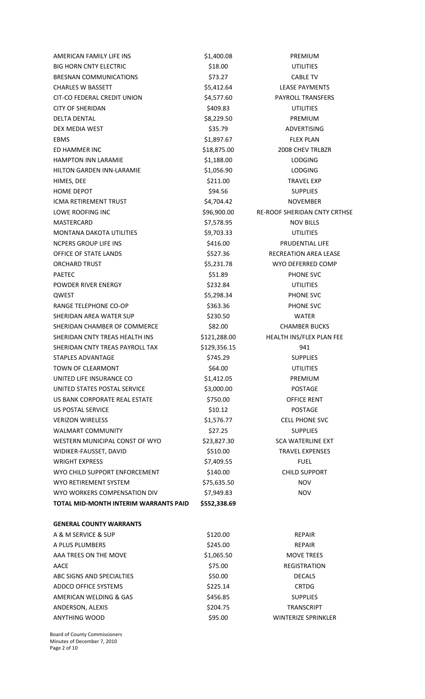AMERICAN FAMILY LIFE INS \$1,400.08 PREMIUM BIG HORN CNTY ELECTRIC **\$18.00** S18.00 UTILITIES BRESNAN COMMUNICATIONS 673.27 CABLE TV CHARLES W BASSETT **12.54 CHARLES W** BASSETT A LEASE PAYMENTS CIT‐CO FEDERAL CREDIT UNION \$4,577.60 PAYROLL TRANSFERS CITY OF SHERIDAN \$409.83 UTILITIES DELTA DENTAL DENTAL DENTAL SERIES AND SERIES SALES \$8,229.50 PREMIUM DEX MEDIA WEST THE STREET STREET STREET STREET STREET STREET STREET STREET STREET STREET STREET STREET STREET EBMS \$1,897.67 FLEX PLAN ED HAMMER INC \$18,875.00 2008 CHEV TRLBZR HAMPTON INN LARAMIE  $$1,188.00$  LODGING HILTON GARDEN INN-LARAMIE  $$1,056.90$  LODGING HIMES, DEE \$211.00 TRAVEL EXP HOME DEPOT SUPPLIES ICMA RETIREMENT TRUST \$4,704.42 NOVEMBER LOWE ROOFING INC <br>\$96,900.00 RE-ROOF SHERIDAN CNTY CRTHSE MASTERCARD \$7,578.95 NOV BILLS MONTANA DAKOTA UTILITIES  $$9,703.33$  UTILITIES NCPERS GROUP LIFE INS **SALES AND STATE OF A SALE OF A SALE OF A SALE OF A SALE OF A SALE OF A SALE OF A SALE OF A** OFFICE OF STATE LANDS **SEXUAL SEXUAL SEXUAL SEXUAL SEXUAL SEXUAL SECREATION AREA LEASE** ORCHARD TRUST 65,231.78 WYO DEFERRED COMP PAETEC \$51.89 PHONE SVC POWDER RIVER ENERGY **\$232.84** UTILITIES QWEST \$5,298.34 PHONE SVC RANGE TELEPHONE CO-OP \$363.36 PHONE SVC SHERIDAN AREA WATER SUP \$230.50 WATER SHERIDAN CHAMBER OF COMMERCE 582.00 CHAMBER BUCKS SHERIDAN CNTY TREAS HEALTH INS \$121,288.00 HEALTH INS/FLEX PLAN FEE SHERIDAN CNTY TREAS PAYROLL TAX \$129,356.15 941 STAPLES ADVANTAGE **\$745.29** SUPPLIES TOWN OF CLEARMONT **1200 CONTROLLERY** \$64.00 UTILITIES UNITED LIFE INSURANCE CO  $$1.412.05$  PREMIUM UNITED STATES POSTAL SERVICE  $$3,000.00$  POSTAGE US BANK CORPORATE REAL ESTATE  $$5750.00$  OFFICE RENT US POSTAL SERVICE **\$10.12** POSTAGE \$10.12 VERIZON WIRELESS **\$1,576.77** CELL PHONE SVC WALMART COMMUNITY THE SET OF SUPPLIES WESTERN MUNICIPAL CONST OF WYO \$23,827.30 SCA WATERLINE EXT WIDIKER-FAUSSET, DAVID **1998 120 SET AUST ARE SERVEL EXPENSES** WRIGHT EXPRESS THE RESERVE TO A STRAIGHT EXPRESS THE RESERVE TO A STRAIGHT AND TUBEL WYO CHILD SUPPORT ENFORCEMENT  $$140.00$ CHILD SUPPORT WYO RETIREMENT SYSTEM \$75,635.50 NOV WYO WORKERS COMPENSATION DIV \$7,949.83 NOV **TOTAL MID‐MONTH INTERIM WARRANTS PAID \$552,338.69**

#### **GENERAL COUNTY WARRANTS**

| A & M SERVICE & SUP       | \$120.00   | <b>REPAIR</b>              |
|---------------------------|------------|----------------------------|
| A PLUS PLUMBERS           | \$245.00   | <b>REPAIR</b>              |
| AAA TREES ON THE MOVE     | \$1,065.50 | <b>MOVE TREES</b>          |
| AACE                      | \$75.00    | <b>REGISTRATION</b>        |
| ABC SIGNS AND SPECIALTIES | \$50.00    | <b>DECALS</b>              |
| ADDCO OFFICE SYSTEMS      | \$225.14   | <b>CRTDG</b>               |
| AMERICAN WELDING & GAS    | \$456.85   | <b>SUPPLIES</b>            |
| ANDERSON, ALEXIS          | \$204.75   | <b>TRANSCRIPT</b>          |
| <b>ANYTHING WOOD</b>      | \$95.00    | <b>WINTERIZE SPRINKLER</b> |

Board of County Commissioners Minutes of December 7, 2010 Page 2 of 10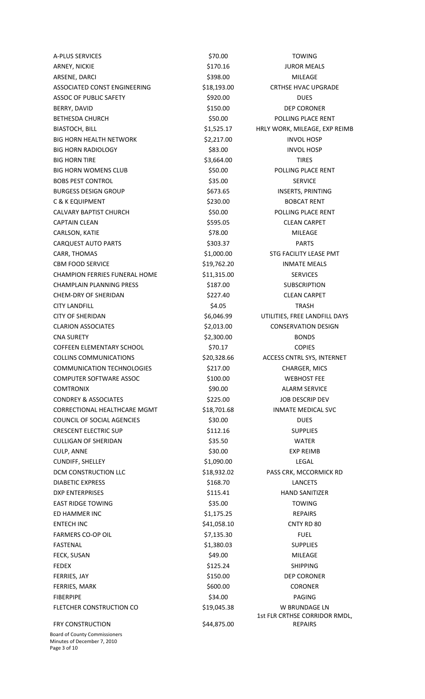A‐PLUS SERVICES \$70.00 TOWING ARNEY, NICKIE **1990 CONTROLL SETTING** S170.16  **IUROR MEALS** ARSENE, DARCI \$398.00 MILEAGE ASSOCIATED CONST ENGINEERING \$18,193.00 CRTHSE HVAC UPGRADE ASSOC OF PUBLIC SAFETY \$920.00 DUES BERRY, DAVID **BERRY, DAVID 1999 1999 1999 150.00 1999 DEP CORONER** BETHESDA CHURCH \$50.00 POLLING PLACE RENT BIASTOCH, BILL **BILL EXP REIMB** \$1,525.17 HRLY WORK, MILEAGE, EXP REIMB BIG HORN HEALTH NETWORK  $$2,217.00$  INVOL HOSP BIG HORN RADIOLOGY \$83.00 INVOL HOSP BIG HORN TIRE \$3,664.00 TIRES BIG HORN WOMENS CLUB **8000 650.00** \$50.00 POLLING PLACE RENT BOBS PEST CONTROL **808.00** \$35.00 SERVICE BURGESS DESIGN GROUP \$673.65 INSERTS, PRINTING C & K EQUIPMENT **\$230.00** \$230.00 BOBCAT RENT CALVARY BAPTIST CHURCH \$50.00 POLLING PLACE RENT CAPTAIN CLEAN \$595.05 CLEAN CARPET CARLSON, KATIE \$78.00 MILEAGE CARQUEST AUTO PARTS **1992 12:20 12:20 12:20 13:203.37** PARTS CARR, THOMAS **EXECUTE 1, 1000.00** STG FACILITY LEASE PMT CBM FOOD SERVICE **19,762.20** INMATE MEALS CHAMPION FERRIES FUNERAL HOME \$11,315.00 SERVICES CHAMPLAIN PLANNING PRESS 6187.00 SUBSCRIPTION CHEM-DRY OF SHERIDAN  $$227.40$  CLEAN CARPET CITY LANDFILL **EXECUTE 2018 12:30 SALUS** \$4.05 **TRASH** CITY OF SHERIDAN \$6,046.99 UTILITIES, FREE LANDFILL DAYS CLARION ASSOCIATES \$2,013.00 CONSERVATION DESIGN CNA SURETY \$2,300.00 BONDS COFFEEN ELEMENTARY SCHOOL \$70.17 COPIES COLLINS COMMUNICATIONS  $$20,328.66$  ACCESS CNTRL SYS, INTERNET COMMUNICATION TECHNOLOGIES \$217.00 CHARGER, MICS COMPUTER SOFTWARE ASSOC  $\sim$  \$100.00  $\sim$  WEBHOST FEE **COMTRONIX 690.00 COMTRONIX COMTRONIX 590.00** ALARM SERVICE CONDREY & ASSOCIATES \$225.00 JOB DESCRIP DEV CORRECTIONAL HEALTHCARE MGMT \$18,701.68 INMATE MEDICAL SVC COUNCIL OF SOCIAL AGENCIES \$30.00 \$30.00 DUES CRESCENT ELECTRIC SUP **\$112.16** SUPPLIES CULLIGAN OF SHERIDAN \$35.50 WATER CULP, ANNE \$30.00 EXP REIMB CUNDIFF, SHELLEY \$1,090.00 LEGAL DCM CONSTRUCTION LLC  $$18,932.02$  PASS CRK, MCCORMICK RD DIABETIC EXPRESS \$168.70 LANCETS DXP ENTERPRISES \$115.41 HAND SANITIZER EAST RIDGE TOWING **EXAMPLE 2018** \$35.00 TOWING ED HAMMER INC **Example 20** S1,175.25  **REPAIRS** ENTECH INC 641,058.10 CNTY RD 80 FARMERS CO-OP OIL \$7,135.30 FUEL FASTENAL \$1,380.03 SUPPLIES FECK, SUSAN \$49.00 MILEAGE FEDEX \$125.24 SHIPPING FERRIES, JAY **1998 120 12:00 SEP CORONER** \$150.00 DEP CORONER FERRIES, MARK \$600.00 CORONER FIBERPIPE \$34.00 PAGING FLETCHER CONSTRUCTION CO  $$19,045.38$  W BRUNDAGE LN FRY CONSTRUCTION \$44,875.00

Board of County Commissioners Minutes of December 7, 2010 Page 3 of 10

1st FLR CRTHSE CORRIDOR RMDL, REPAIRS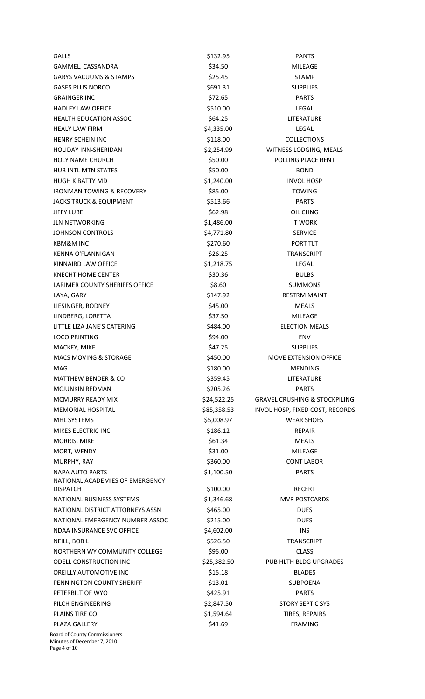| <b>GALLS</b>                                                        | \$132.95    | <b>PANTS</b>                             |
|---------------------------------------------------------------------|-------------|------------------------------------------|
| GAMMEL, CASSANDRA                                                   | \$34.50     | MILEAGE                                  |
| <b>GARYS VACUUMS &amp; STAMPS</b>                                   | \$25.45     | <b>STAMP</b>                             |
| <b>GASES PLUS NORCO</b>                                             | \$691.31    | <b>SUPPLIES</b>                          |
| <b>GRAINGER INC</b>                                                 | \$72.65     | <b>PARTS</b>                             |
| <b>HADLEY LAW OFFICE</b>                                            | \$510.00    | LEGAL                                    |
| <b>HEALTH EDUCATION ASSOC</b>                                       | \$64.25     | LITERATURE                               |
| <b>HEALY LAW FIRM</b>                                               | \$4,335.00  | <b>LEGAL</b>                             |
| <b>HENRY SCHEIN INC</b>                                             | \$118.00    | <b>COLLECTIONS</b>                       |
| <b>HOLIDAY INN-SHERIDAN</b>                                         | \$2,254.99  | WITNESS LODGING, MEALS                   |
| <b>HOLY NAME CHURCH</b>                                             | \$50.00     | POLLING PLACE RENT                       |
| <b>HUB INTL MTN STATES</b>                                          | \$50.00     | <b>BOND</b>                              |
| <b>HUGH K BATTY MD</b>                                              | \$1,240.00  | <b>INVOL HOSP</b>                        |
| <b>IRONMAN TOWING &amp; RECOVERY</b>                                | \$85.00     | <b>TOWING</b>                            |
| <b>JACKS TRUCK &amp; EQUIPMENT</b>                                  | \$513.66    | <b>PARTS</b>                             |
| JIFFY LUBE                                                          | \$62.98     | OIL CHNG                                 |
| <b>JLN NETWORKING</b>                                               | \$1,486.00  | <b>IT WORK</b>                           |
| <b>JOHNSON CONTROLS</b>                                             | \$4,771.80  | <b>SERVICE</b>                           |
| <b>KBM&amp;M INC</b>                                                | \$270.60    | PORT TLT                                 |
| KENNA O'FLANNIGAN                                                   | \$26.25     | <b>TRANSCRIPT</b>                        |
| KINNAIRD LAW OFFICE                                                 | \$1,218.75  | <b>LEGAL</b>                             |
| KNECHT HOME CENTER                                                  | \$30.36     | <b>BULBS</b>                             |
| LARIMER COUNTY SHERIFFS OFFICE                                      | \$8.60      | <b>SUMMONS</b>                           |
| LAYA, GARY                                                          | \$147.92    | <b>RESTRM MAINT</b>                      |
| LIESINGER, RODNEY                                                   | \$45.00     | <b>MEALS</b>                             |
| LINDBERG, LORETTA                                                   | \$37.50     | MILEAGE                                  |
| LITTLE LIZA JANE'S CATERING                                         | \$484.00    | <b>ELECTION MEALS</b>                    |
| <b>LOCO PRINTING</b>                                                | \$94.00     | <b>ENV</b>                               |
| MACKEY, MIKE                                                        | \$47.25     | <b>SUPPLIES</b>                          |
| <b>MACS MOVING &amp; STORAGE</b>                                    | \$450.00    | <b>MOVE EXTENSION OFFICE</b>             |
| MAG                                                                 | \$180.00    | <b>MENDING</b>                           |
| <b>MATTHEW BENDER &amp; CO</b>                                      | \$359.45    | LITERATURE                               |
| <b>MCJUNKIN REDMAN</b>                                              | \$205.26    | <b>PARTS</b>                             |
| <b>MCMURRY READY MIX</b>                                            | \$24,522.25 | <b>GRAVEL CRUSHING &amp; STOCKPILING</b> |
| <b>MEMORIAL HOSPITAL</b>                                            | \$85,358.53 | INVOL HOSP, FIXED COST, RECORDS          |
| MHL SYSTEMS                                                         | \$5,008.97  | <b>WEAR SHOES</b>                        |
| MIKES ELECTRIC INC                                                  | \$186.12    | <b>REPAIR</b>                            |
| MORRIS, MIKE                                                        | \$61.34     | <b>MEALS</b>                             |
| MORT, WENDY                                                         | \$31.00     | <b>MILEAGE</b>                           |
| MURPHY, RAY                                                         | \$360.00    | <b>CONT LABOR</b>                        |
| <b>NAPA AUTO PARTS</b>                                              | \$1,100.50  | <b>PARTS</b>                             |
| NATIONAL ACADEMIES OF EMERGENCY                                     |             |                                          |
| <b>DISPATCH</b>                                                     | \$100.00    | <b>RECERT</b>                            |
| NATIONAL BUSINESS SYSTEMS                                           | \$1,346.68  | <b>MVR POSTCARDS</b>                     |
| NATIONAL DISTRICT ATTORNEYS ASSN                                    | \$465.00    | <b>DUES</b>                              |
| NATIONAL EMERGENCY NUMBER ASSOC                                     | \$215.00    | <b>DUES</b>                              |
| NDAA INSURANCE SVC OFFICE                                           | \$4,602.00  | INS                                      |
| NEILL, BOB L                                                        | \$526.50    | <b>TRANSCRIPT</b>                        |
| NORTHERN WY COMMUNITY COLLEGE                                       | \$95.00     | <b>CLASS</b>                             |
| <b>ODELL CONSTRUCTION INC</b>                                       | \$25,382.50 | PUB HLTH BLDG UPGRADES                   |
| <b>OREILLY AUTOMOTIVE INC</b>                                       | \$15.18     | <b>BLADES</b>                            |
| PENNINGTON COUNTY SHERIFF                                           | \$13.01     | <b>SUBPOENA</b>                          |
| PETERBILT OF WYO                                                    | \$425.91    | <b>PARTS</b>                             |
| PILCH ENGINEERING                                                   | \$2,847.50  | <b>STORY SEPTIC SYS</b>                  |
| PLAINS TIRE CO                                                      | \$1,594.64  | TIRES, REPAIRS                           |
| PLAZA GALLERY                                                       | \$41.69     | <b>FRAMING</b>                           |
| <b>Board of County Commissioners</b><br>Minutes of December 7, 2010 |             |                                          |

Page 4 of 10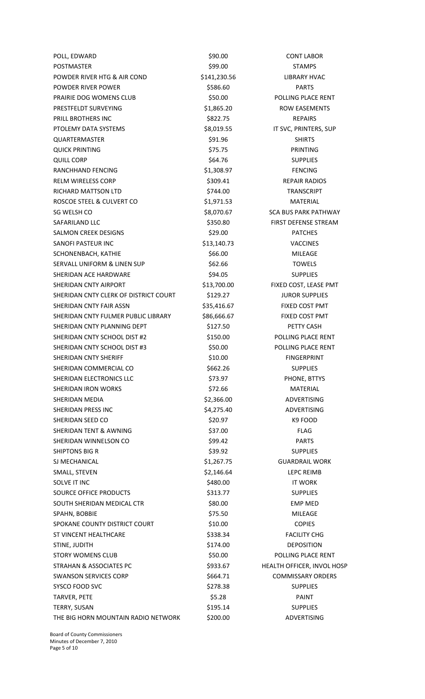POLL, EDWARD \$90.00 CONT LABOR POSTMASTER \$99.00 STAMPS POWDER RIVER HTG & AIR COND \$141,230.56 LIBRARY HVAC POWDER RIVER POWER **BUSINESS AND SEXUAL SEXUAL SEXUAL PROVIDER** PARTS PRAIRIE DOG WOMENS CLUB \$50.00 POLLING PLACE RENT PRESTFELDT SURVEYING  $$1,865.20$ ROW EASEMENTS PRILL BROTHERS INC **Example 2018** S822.75  **BEPAIRS** PTOLEMY DATA SYSTEMS  $$8,019.55$  IT SVC, PRINTERS, SUP QUARTERMASTER \$91.96 SHIRTS QUICK PRINTING **A POST ASSESSED ASSESSED A** S75.75  **PRINTING PRINTING** QUILL CORP \$64.76 SUPPLIES RANCHHAND FENCING  $$1,308.97$  FENCING RELM WIRELESS CORP **\$309.41 \$309.41 REPAIR RADIOS** RICHARD MATTSON LTD \$744.00 \$744.00 TRANSCRIPT ROSCOE STEEL & CULVERT CO  $$1,971.53$  MATERIAL SG WELSH CO \$8,070.67 SCA BUS PARK PATHWAY SAFARILAND LLC **SAFARILAND LLC 1999 1201 1312 1313 1350.80** FIRST DEFENSE STREAM SALMON CREEK DESIGNS **\$29.00** \$29.00 PATCHES SANOFI PASTEUR INC **\$13,140.73** VACCINES SCHONENBACH, KATHIE **1988 1999 12: SECHONENBACH, KATHIE** SERVALL UNIFORM & LINEN SUP \$62.66 TOWELS SHERIDAN ACE HARDWARE  $$94.05$   $$94.05$  SUPPLIES SHERIDAN CNTY AIRPORT **\$13,700.00** FIXED COST, LEASE PMT SHERIDAN CNTY CLERK OF DISTRICT COURT \$129.27 JUROR SUPPLIES SHERIDAN CNTY FAIR ASSN \$35,416.67 FIXED COST PMT SHERIDAN CNTY FULMER PUBLIC LIBRARY \$86,666.67 FIXED COST PMT SHERIDAN CNTY PLANNING DEPT \$127.50 PETTY CASH SHERIDAN CNTY SCHOOL DIST #2 \$150.00 POLLING PLACE RENT SHERIDAN CNTY SCHOOL DIST #3  $$50.00$  POLLING PLACE RENT SHERIDAN CNTY SHERIFF  $$10.00$  FINGERPRINT SHERIDAN COMMERCIAL CO **\$662.26** SUPPLIES SHERIDAN ELECTRONICS LLC **STARF AND STARF STARF STARF AND STARF STARF STARF STARF STARF STARF STARF STARF STARF STARF STARF STARF STARF STARF STARF STARF STARF STARF STARF STARF STARF STARF STARF STARF STARF STARF STARF S** SHERIDAN IRON WORKS **\$72.66** MATERIAL SHERIDAN MEDIA \$2,366.00 ADVERTISING SHERIDAN PRESS INC **\$4,275.40** ADVERTISING SHERIDAN SEED CO \$20.97 K9 FOOD SHERIDAN TENT & AWNING \$37.00 \$37.00 FLAG SHERIDAN WINNELSON CO **\$99.42** PARTS SHIPTONS BIG R \$39.92 SUPPLIES SJ MECHANICAL **S1,267.75 GUARDRAIL WORK GUARDRAIL WORK** SMALL, STEVEN **1999 CONTROLLS IN THE STEVEN SMALL**, STEVEN **EXAMPLE 2 CONTROLLS** SAMPLE 3 **CONTROLLS** SCHOOL SOLVE IT INC \$480.00 IT WORK SOURCE OFFICE PRODUCTS \$313.77 SUPPLIES SOUTH SHERIDAN MEDICAL CTR<br>
\$80.00 EMP MED SPAHN, BOBBIE \$75.50 MILEAGE SPOKANE COUNTY DISTRICT COURT **S10.00 S10.00

SPOKANE COUNTY DISTRICT COURT** ST VINCENT HEALTHCARE **\$338.34** FACILITY CHG STINE, JUDITH **SEPOSITION \$174.00 DEPOSITION** STORY WOMENS CLUB **\$50.00** \$50.00 POLLING PLACE RENT STRAHAN & ASSOCIATES PC  $$933.67$  HEALTH OFFICER, INVOL HOSP SWANSON SERVICES CORP  $$664.71$  COMMISSARY ORDERS SYSCO FOOD SVC \$278.38 SUPPLIES TARVER, PETE \$5.28 PAINT TERRY, SUSAN \$195.14 SUPPLIES THE BIG HORN MOUNTAIN RADIO NETWORK \$200.00 ADVERTISING

Board of County Commissioners Minutes of December 7, 2010 Page 5 of 10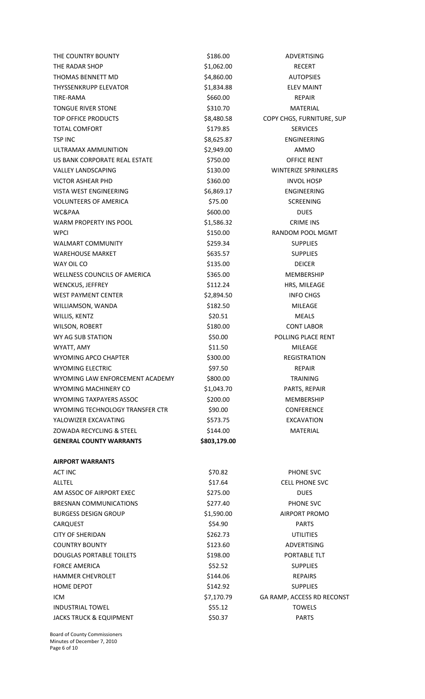THE COUNTRY BOUNTY **1999** S186.00 ADVERTISING THE RADAR SHOP \$1,062.00 RECERT THOMAS BENNETT MD  $$4,860.00$  AUTOPSIES THYSSENKRUPP ELEVATOR \$1,834.88 ELEV MAINT TIRE‐RAMA **beider and the set of the set of the set of the set of the set of the set of the set of the set of the set of the set of the set of the set of the set of the set of the set of the set of the set of the set of th** TONGUE RIVER STONE **\$310.70** S310.70 MATERIAL TOP OFFICE PRODUCTS **A COPY CHOCK COPY CHGS, FURNITURE, SUP** TOTAL COMFORT 
and the state of the state of the state of the state of the state of the state of the state of the state of the state of the state of the state of the state of the state of the state of the state of the stat TSP INC 68,625.87 ENGINEERING ULTRAMAX AMMUNITION  $$2,949.00$  AMMO US BANK CORPORATE REAL ESTATE  $$5750.00$  OFFICE RENT VALLEY LANDSCAPING 
valley Landscaping
strategy and the state of the state of the state of the state of the state of the state of the state of the state of the state of the state of the state of the state of the state of t VICTOR ASHEAR PHD \$360.00 S360.00 VISTA WEST ENGINEERING  $$6,869.17$  ENGINEERING VOLUNTEERS OF AMERICA  $$75.00$  SCREENING WC&PAA \$600.00 DUES WARM PROPERTY INS POOL \$1,586.32 CRIME INS WPCI **BUDGET ACCORD METALLY SEED ASSESSED AT A STATE OF A STATE OF A STATE OF A STATE OF A STATE OF A STATE OF A STATE OF A STATE OF A STATE OF A STATE OF A STATE OF A STATE OF A STATE OF A STATE OF A STATE OF A STATE OF A** WALMART COMMUNITY **1200 SEPTEMBER 1259.34** SUPPLIES WAREHOUSE MARKET **1998** S635.57 SUPPLIES WAY OIL CONSIDER THE STATE OF STATE STATES AND STATE STATES OF THE STATE OF STATE OF STATE OF STATES AND STATE WELLNESS COUNCILS OF AMERICA **5365.00 MEMBERSHIP** WENCKUS, JEFFREY **\$112.24** HRS, MILEAGE WEST PAYMENT CENTER  $$2,894.50$  INFO CHGS WILLIAMSON, WANDA **1999 12:00 12:00 12:00 12:00 12:00 12:00 12:00 MILEAGE** WILLIS, KENTZ \$20.51 MEALS WILSON, ROBERT **\$180.00** \$180.00 CONT LABOR WY AG SUB STATION \$50.00 POLLING PLACE RENT WYATT, AMY **EXAMPLE A CONSUMING A SAMPLE ASSAULT A SAMPLE A CONSUMING A MILEAGE** WYOMING APCO CHAPTER \$300.00 REGISTRATION WYOMING ELECTRIC **800 SECOND STATES SOLUTION** S97.50 **BEPAIR** WYOMING LAW ENFORCEMENT ACADEMY \$800.00 TRAINING WYOMING MACHINERY CO **\$1,043.70** PARTS, REPAIR WYOMING TAXPAYERS ASSOC  $\sim$  \$200.00 \$200.00 MEMBERSHIP WYOMING TECHNOLOGY TRANSFER CTR \$90.00 SOMETERENCE YALOWIZER EXCAVATING **\$573.75 EXCAVATION** ZOWADA RECYCLING & STEEL \$144.00 MATERIAL **GENERAL COUNTY WARRANTS \$803,179.00 AIRPORT WARRANTS**

ACT INC \$70.82 PHONE SVC ALLTEL \$17.64 CELL PHONE SVC AM ASSOC OF AIRPORT EXEC \$275.00 \$275.00 BRESNAN COMMUNICATIONS  $$277.40$  PHONE SVC BURGESS DESIGN GROUP **\$1,590.00** \$1,590.00 AIRPORT PROMO CARQUEST \$54.90 PARTS CITY OF SHERIDAN \$262.73 UTILITIES COUNTRY BOUNTY **123.60** S123.60 ADVERTISING DOUGLAS PORTABLE TOILETS \$198.00 PORTABLE TLT FORCE AMERICA  $$52.52$  SUPPLIES

Board of County Commissioners Minutes of December 7, 2010 Page 6 of 10

HAMMER CHEVROLET **12000 \$144.06** PHONOSTAN S144.06 REPAIRS HOME DEPOT **\$142.92** SUPPLIES

INDUSTRIAL TOWEL \$55.12 TOWELS JACKS TRUCK & EQUIPMENT \$50.37 \$50.37 PARTS

ICM  $\text{S7,170.79}$  GA RAMP, ACCESS RD RECONST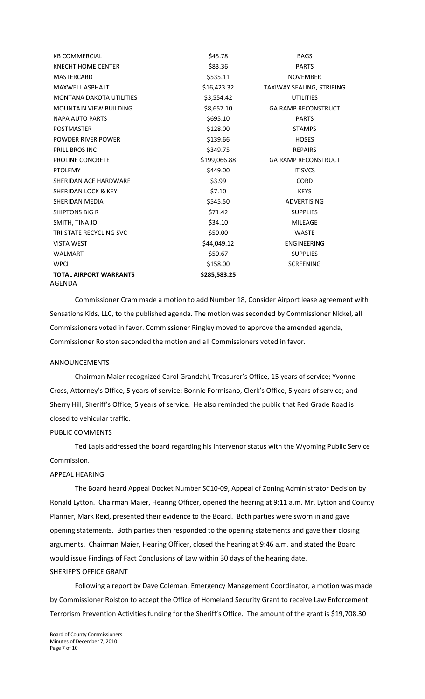| <b>KB COMMERCIAL</b>            | \$45.78      | <b>BAGS</b>                      |
|---------------------------------|--------------|----------------------------------|
| <b>KNECHT HOME CENTER</b>       | \$83.36      | <b>PARTS</b>                     |
| MASTERCARD                      | \$535.11     | <b>NOVEMBER</b>                  |
| MAXWELL ASPHALT                 | \$16,423.32  | <b>TAXIWAY SEALING, STRIPING</b> |
| <b>MONTANA DAKOTA UTILITIES</b> | \$3,554.42   | <b>UTILITIES</b>                 |
| <b>MOUNTAIN VIEW BUILDING</b>   | \$8,657.10   | <b>GA RAMP RECONSTRUCT</b>       |
| <b>NAPA AUTO PARTS</b>          | \$695.10     | <b>PARTS</b>                     |
| <b>POSTMASTER</b>               | \$128.00     | <b>STAMPS</b>                    |
| POWDER RIVER POWER              | \$139.66     | <b>HOSES</b>                     |
| <b>PRILL BROS INC</b>           | \$349.75     | <b>REPAIRS</b>                   |
| PROLINE CONCRETE                | \$199,066.88 | <b>GA RAMP RECONSTRUCT</b>       |
| <b>PTOLEMY</b>                  | \$449.00     | <b>IT SVCS</b>                   |
| SHERIDAN ACE HARDWARE           | \$3.99       | <b>CORD</b>                      |
| SHERIDAN LOCK & KEY             | \$7.10       | <b>KEYS</b>                      |
| SHERIDAN MEDIA                  | \$545.50     | <b>ADVERTISING</b>               |
| <b>SHIPTONS BIG R</b>           | \$71.42      | <b>SUPPLIES</b>                  |
| SMITH, TINA JO                  | \$34.10      | <b>MILEAGE</b>                   |
| <b>TRI-STATE RECYCLING SVC</b>  | \$50.00      | <b>WASTE</b>                     |
| <b>VISTA WEST</b>               | \$44,049.12  | <b>ENGINEERING</b>               |
| <b>WALMART</b>                  | \$50.67      | <b>SUPPLIES</b>                  |
| <b>WPCI</b>                     | \$158.00     | <b>SCREENING</b>                 |
| <b>TOTAL AIRPORT WARRANTS</b>   | \$285,583.25 |                                  |
| AGENDA                          |              |                                  |

Commissioner Cram made a motion to add Number 18, Consider Airport lease agreement with Sensations Kids, LLC, to the published agenda. The motion was seconded by Commissioner Nickel, all Commissioners voted in favor. Commissioner Ringley moved to approve the amended agenda, Commissioner Rolston seconded the motion and all Commissioners voted in favor.

#### ANNOUNCEMENTS

Chairman Maier recognized Carol Grandahl, Treasurer's Office, 15 years of service; Yvonne Cross, Attorney's Office, 5 years of service; Bonnie Formisano, Clerk's Office, 5 years of service; and Sherry Hill, Sheriff's Office, 5 years of service. He also reminded the public that Red Grade Road is closed to vehicular traffic.

#### PUBLIC COMMENTS

 Ted Lapis addressed the board regarding his intervenor status with the Wyoming Public Service Commission.

# APPEAL HEARING

The Board heard Appeal Docket Number SC10‐09, Appeal of Zoning Administrator Decision by Ronald Lytton. Chairman Maier, Hearing Officer, opened the hearing at 9:11 a.m. Mr. Lytton and County Planner, Mark Reid, presented their evidence to the Board. Both parties were sworn in and gave opening statements. Both parties then responded to the opening statements and gave their closing arguments. Chairman Maier, Hearing Officer, closed the hearing at 9:46 a.m. and stated the Board would issue Findings of Fact Conclusions of Law within 30 days of the hearing date. SHERIFF'S OFFICE GRANT

Following a report by Dave Coleman, Emergency Management Coordinator, a motion was made by Commissioner Rolston to accept the Office of Homeland Security Grant to receive Law Enforcement Terrorism Prevention Activities funding for the Sheriff's Office. The amount of the grant is \$19,708.30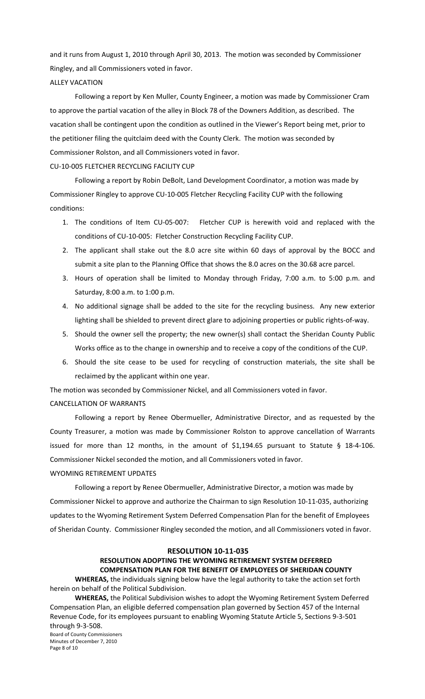and it runs from August 1, 2010 through April 30, 2013. The motion was seconded by Commissioner Ringley, and all Commissioners voted in favor.

### ALLEY VACATION

Following a report by Ken Muller, County Engineer, a motion was made by Commissioner Cram to approve the partial vacation of the alley in Block 78 of the Downers Addition, as described. The vacation shall be contingent upon the condition as outlined in the Viewer's Report being met, prior to the petitioner filing the quitclaim deed with the County Clerk. The motion was seconded by Commissioner Rolston, and all Commissioners voted in favor.

# CU‐10‐005 FLETCHER RECYCLING FACILITY CUP

Following a report by Robin DeBolt, Land Development Coordinator, a motion was made by Commissioner Ringley to approve CU‐10‐005 Fletcher Recycling Facility CUP with the following conditions:

- 1. The conditions of Item CU‐05‐007: Fletcher CUP is herewith void and replaced with the conditions of CU‐10‐005: Fletcher Construction Recycling Facility CUP.
- 2. The applicant shall stake out the 8.0 acre site within 60 days of approval by the BOCC and submit a site plan to the Planning Office that shows the 8.0 acres on the 30.68 acre parcel.
- 3. Hours of operation shall be limited to Monday through Friday, 7:00 a.m. to 5:00 p.m. and Saturday, 8:00 a.m. to 1:00 p.m.
- 4. No additional signage shall be added to the site for the recycling business. Any new exterior lighting shall be shielded to prevent direct glare to adjoining properties or public rights‐of‐way.
- 5. Should the owner sell the property; the new owner(s) shall contact the Sheridan County Public Works office as to the change in ownership and to receive a copy of the conditions of the CUP.
- 6. Should the site cease to be used for recycling of construction materials, the site shall be reclaimed by the applicant within one year.

The motion was seconded by Commissioner Nickel, and all Commissioners voted in favor. CANCELLATION OF WARRANTS

Following a report by Renee Obermueller, Administrative Director, and as requested by the County Treasurer, a motion was made by Commissioner Rolston to approve cancellation of Warrants issued for more than 12 months, in the amount of \$1,194.65 pursuant to Statute § 18-4-106. Commissioner Nickel seconded the motion, and all Commissioners voted in favor.

# WYOMING RETIREMENT UPDATES

Following a report by Renee Obermueller, Administrative Director, a motion was made by Commissioner Nickel to approve and authorize the Chairman to sign Resolution 10‐11‐035, authorizing updates to the Wyoming Retirement System Deferred Compensation Plan for the benefit of Employees of Sheridan County. Commissioner Ringley seconded the motion, and all Commissioners voted in favor.

#### **RESOLUTION 10‐11‐035**

# **RESOLUTION ADOPTING THE WYOMING RETIREMENT SYSTEM DEFERRED COMPENSATION PLAN FOR THE BENEFIT OF EMPLOYEES OF SHERIDAN COUNTY**

**WHEREAS,** the individuals signing below have the legal authority to take the action set forth herein on behalf of the Political Subdivision.

Board of County Commissioners **WHEREAS,** the Political Subdivision wishes to adopt the Wyoming Retirement System Deferred Compensation Plan, an eligible deferred compensation plan governed by Section 457 of the Internal Revenue Code, for its employees pursuant to enabling Wyoming Statute Article 5, Sections 9‐3‐501 through 9‐3‐508.

Minutes of December 7, 2010 Page 8 of 10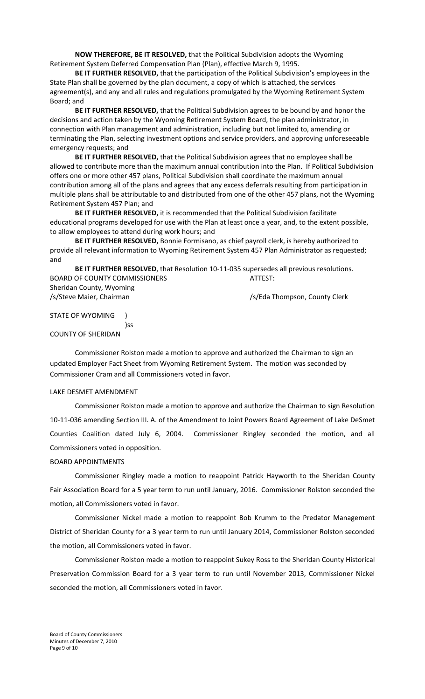**NOW THEREFORE, BE IT RESOLVED,** that the Political Subdivision adopts the Wyoming Retirement System Deferred Compensation Plan (Plan), effective March 9, 1995.

**BE IT FURTHER RESOLVED,** that the participation of the Political Subdivision's employees in the State Plan shall be governed by the plan document, a copy of which is attached, the services agreement(s), and any and all rules and regulations promulgated by the Wyoming Retirement System Board; and

**BE IT FURTHER RESOLVED,** that the Political Subdivision agrees to be bound by and honor the decisions and action taken by the Wyoming Retirement System Board, the plan administrator, in connection with Plan management and administration, including but not limited to, amending or terminating the Plan, selecting investment options and service providers, and approving unforeseeable emergency requests; and

**BE IT FURTHER RESOLVED,** that the Political Subdivision agrees that no employee shall be allowed to contribute more than the maximum annual contribution into the Plan. If Political Subdivision offers one or more other 457 plans, Political Subdivision shall coordinate the maximum annual contribution among all of the plans and agrees that any excess deferrals resulting from participation in multiple plans shall be attributable to and distributed from one of the other 457 plans, not the Wyoming Retirement System 457 Plan; and

**BE IT FURTHER RESOLVED,** it is recommended that the Political Subdivision facilitate educational programs developed for use with the Plan at least once a year, and, to the extent possible, to allow employees to attend during work hours; and

**BE IT FURTHER RESOLVED,** Bonnie Formisano, as chief payroll clerk, is hereby authorized to provide all relevant information to Wyoming Retirement System 457 Plan Administrator as requested; and

**BE IT FURTHER RESOLVED**, that Resolution 10‐11‐035 supersedes all previous resolutions. BOARD OF COUNTY COMMISSIONERS **BOARD** OF COUNTY COMMISSIONERS Sheridan County, Wyoming /s/Steve Maier, Chairman /s/Eda Thompson, County Clerk

STATE OF WYOMING ) )ss

COUNTY OF SHERIDAN

Commissioner Rolston made a motion to approve and authorized the Chairman to sign an updated Employer Fact Sheet from Wyoming Retirement System. The motion was seconded by Commissioner Cram and all Commissioners voted in favor.

# LAKE DESMET AMENDMENT

Commissioner Rolston made a motion to approve and authorize the Chairman to sign Resolution 10-11-036 amending Section III. A. of the Amendment to Joint Powers Board Agreement of Lake DeSmet Counties Coalition dated July 6, 2004. Commissioner Ringley seconded the motion, and all Commissioners voted in opposition.

# BOARD APPOINTMENTS

Commissioner Ringley made a motion to reappoint Patrick Hayworth to the Sheridan County Fair Association Board for a 5 year term to run until January, 2016. Commissioner Rolston seconded the motion, all Commissioners voted in favor.

Commissioner Nickel made a motion to reappoint Bob Krumm to the Predator Management District of Sheridan County for a 3 year term to run until January 2014, Commissioner Rolston seconded the motion, all Commissioners voted in favor.

Commissioner Rolston made a motion to reappoint Sukey Ross to the Sheridan County Historical Preservation Commission Board for a 3 year term to run until November 2013, Commissioner Nickel seconded the motion, all Commissioners voted in favor.